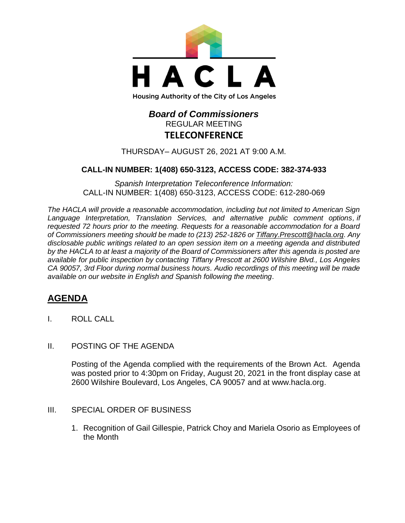

# *Board of Commissioners* REGULAR MEETING **TELECONFERENCE**

THURSDAY– AUGUST 26, 2021 AT 9:00 A.M.

## **CALL-IN NUMBER: 1(408) 650-3123, ACCESS CODE: 382-374-933**

*Spanish Interpretation Teleconference Information:* CALL-IN NUMBER: 1(408) 650-3123, ACCESS CODE: 612-280-069

*The HACLA will provide a reasonable accommodation, including but not limited to American Sign Language Interpretation, Translation Services, and alternative public comment options, if requested 72 hours prior to the meeting. Requests for a reasonable accommodation for a Board of Commissioners meeting should be made to (213) 252-1826 or Tiffany.Prescott@hacla.org. Any disclosable public writings related to an open session item on a meeting agenda and distributed by the HACLA to at least a majority of the Board of Commissioners after this agenda is posted are available for public inspection by contacting Tiffany Prescott at 2600 Wilshire Blvd., Los Angeles CA 90057, 3rd Floor during normal business hours. Audio recordings of this meeting will be made available on our website in English and Spanish following the meeting.*

## **AGENDA**

- I. ROLL CALL
- II. POSTING OF THE AGENDA

Posting of the Agenda complied with the requirements of the Brown Act. Agenda was posted prior to 4:30pm on Friday, August 20, 2021 in the front display case at 2600 Wilshire Boulevard, Los Angeles, CA 90057 and at [www.hacla.org.](http://www.hacla.org/)

- III. SPECIAL ORDER OF BUSINESS
	- 1. Recognition of Gail Gillespie, Patrick Choy and Mariela Osorio as Employees of the Month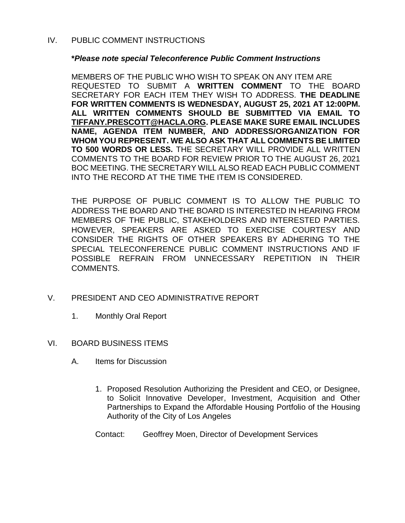### IV. PUBLIC COMMENT INSTRUCTIONS

#### **\****Please note special Teleconference Public Comment Instructions*

MEMBERS OF THE PUBLIC WHO WISH TO SPEAK ON ANY ITEM ARE REQUESTED TO SUBMIT A **WRITTEN COMMENT** TO THE BOARD SECRETARY FOR EACH ITEM THEY WISH TO ADDRESS. **THE DEADLINE FOR WRITTEN COMMENTS IS WEDNESDAY, AUGUST 25, 2021 AT 12:00PM. ALL WRITTEN COMMENTS SHOULD BE SUBMITTED VIA EMAIL TO [TIFFANY.PRESCOTT@HACLA.ORG.](mailto:TIFFANY.PRESCOTT@HACLA.ORG) PLEASE MAKE SURE EMAIL INCLUDES NAME, AGENDA ITEM NUMBER, AND ADDRESS/ORGANIZATION FOR WHOM YOU REPRESENT. WE ALSO ASK THAT ALL COMMENTS BE LIMITED TO 500 WORDS OR LESS.** THE SECRETARY WILL PROVIDE ALL WRITTEN COMMENTS TO THE BOARD FOR REVIEW PRIOR TO THE AUGUST 26, 2021 BOC MEETING. THE SECRETARY WILL ALSO READ EACH PUBLIC COMMENT INTO THE RECORD AT THE TIME THE ITEM IS CONSIDERED.

THE PURPOSE OF PUBLIC COMMENT IS TO ALLOW THE PUBLIC TO ADDRESS THE BOARD AND THE BOARD IS INTERESTED IN HEARING FROM MEMBERS OF THE PUBLIC, STAKEHOLDERS AND INTERESTED PARTIES. HOWEVER, SPEAKERS ARE ASKED TO EXERCISE COURTESY AND CONSIDER THE RIGHTS OF OTHER SPEAKERS BY ADHERING TO THE SPECIAL TELECONFERENCE PUBLIC COMMENT INSTRUCTIONS AND IF POSSIBLE REFRAIN FROM UNNECESSARY REPETITION IN THEIR COMMENTS.

- V. PRESIDENT AND CEO ADMINISTRATIVE REPORT
	- 1. Monthly Oral Report
- VI. BOARD BUSINESS ITEMS
	- A. Items for Discussion
		- 1. Proposed Resolution Authorizing the President and CEO, or Designee, to Solicit Innovative Developer, Investment, Acquisition and Other Partnerships to Expand the Affordable Housing Portfolio of the Housing Authority of the City of Los Angeles
		- Contact: Geoffrey Moen, Director of Development Services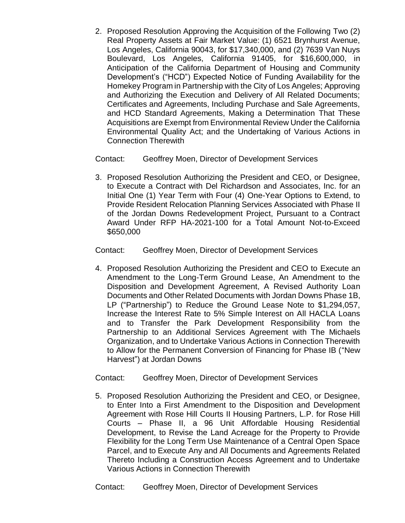2. Proposed Resolution Approving the Acquisition of the Following Two (2) Real Property Assets at Fair Market Value: (1) 6521 Brynhurst Avenue, Los Angeles, California 90043, for \$17,340,000, and (2) 7639 Van Nuys Boulevard, Los Angeles, California 91405, for \$16,600,000, in Anticipation of the California Department of Housing and Community Development's ("HCD") Expected Notice of Funding Availability for the Homekey Program in Partnership with the City of Los Angeles; Approving and Authorizing the Execution and Delivery of All Related Documents; Certificates and Agreements, Including Purchase and Sale Agreements, and HCD Standard Agreements, Making a Determination That These Acquisitions are Exempt from Environmental Review Under the California Environmental Quality Act; and the Undertaking of Various Actions in Connection Therewith

Contact: Geoffrey Moen, Director of Development Services

3. Proposed Resolution Authorizing the President and CEO, or Designee, to Execute a Contract with Del Richardson and Associates, Inc. for an Initial One (1) Year Term with Four (4) One-Year Options to Extend, to Provide Resident Relocation Planning Services Associated with Phase II of the Jordan Downs Redevelopment Project, Pursuant to a Contract Award Under RFP HA-2021-100 for a Total Amount Not-to-Exceed \$650,000

Contact: Geoffrey Moen, Director of Development Services

4. Proposed Resolution Authorizing the President and CEO to Execute an Amendment to the Long-Term Ground Lease, An Amendment to the Disposition and Development Agreement, A Revised Authority Loan Documents and Other Related Documents with Jordan Downs Phase 1B, LP ("Partnership") to Reduce the Ground Lease Note to \$1,294,057, Increase the Interest Rate to 5% Simple Interest on All HACLA Loans and to Transfer the Park Development Responsibility from the Partnership to an Additional Services Agreement with The Michaels Organization, and to Undertake Various Actions in Connection Therewith to Allow for the Permanent Conversion of Financing for Phase IB ("New Harvest") at Jordan Downs

Contact: Geoffrey Moen, Director of Development Services

5. Proposed Resolution Authorizing the President and CEO, or Designee, to Enter Into a First Amendment to the Disposition and Development Agreement with Rose Hill Courts II Housing Partners, L.P. for Rose Hill Courts – Phase II, a 96 Unit Affordable Housing Residential Development, to Revise the Land Acreage for the Property to Provide Flexibility for the Long Term Use Maintenance of a Central Open Space Parcel, and to Execute Any and All Documents and Agreements Related Thereto Including a Construction Access Agreement and to Undertake Various Actions in Connection Therewith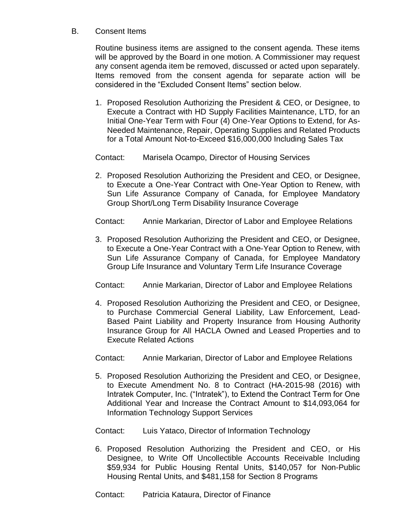### B. Consent Items

Routine business items are assigned to the consent agenda. These items will be approved by the Board in one motion. A Commissioner may request any consent agenda item be removed, discussed or acted upon separately. Items removed from the consent agenda for separate action will be considered in the "Excluded Consent Items" section below.

1. Proposed Resolution Authorizing the President & CEO, or Designee, to Execute a Contract with HD Supply Facilities Maintenance, LTD, for an Initial One-Year Term with Four (4) One-Year Options to Extend, for As-Needed Maintenance, Repair, Operating Supplies and Related Products for a Total Amount Not-to-Exceed \$16,000,000 Including Sales Tax

Contact: Marisela Ocampo, Director of Housing Services

2. Proposed Resolution Authorizing the President and CEO, or Designee, to Execute a One-Year Contract with One-Year Option to Renew, with Sun Life Assurance Company of Canada, for Employee Mandatory Group Short/Long Term Disability Insurance Coverage

Contact: Annie Markarian, Director of Labor and Employee Relations

3. Proposed Resolution Authorizing the President and CEO, or Designee, to Execute a One-Year Contract with a One-Year Option to Renew, with Sun Life Assurance Company of Canada, for Employee Mandatory Group Life Insurance and Voluntary Term Life Insurance Coverage

Contact: Annie Markarian, Director of Labor and Employee Relations

4. Proposed Resolution Authorizing the President and CEO, or Designee, to Purchase Commercial General Liability, Law Enforcement, Lead-Based Paint Liability and Property Insurance from Housing Authority Insurance Group for All HACLA Owned and Leased Properties and to Execute Related Actions

Contact: Annie Markarian, Director of Labor and Employee Relations

5. Proposed Resolution Authorizing the President and CEO, or Designee, to Execute Amendment No. 8 to Contract (HA-2015-98 (2016) with Intratek Computer, Inc. ("Intratek"), to Extend the Contract Term for One Additional Year and Increase the Contract Amount to \$14,093,064 for Information Technology Support Services

Contact: Luis Yataco, Director of Information Technology

6. Proposed Resolution Authorizing the President and CEO, or His Designee, to Write Off Uncollectible Accounts Receivable Including \$59,934 for Public Housing Rental Units, \$140,057 for Non-Public Housing Rental Units, and \$481,158 for Section 8 Programs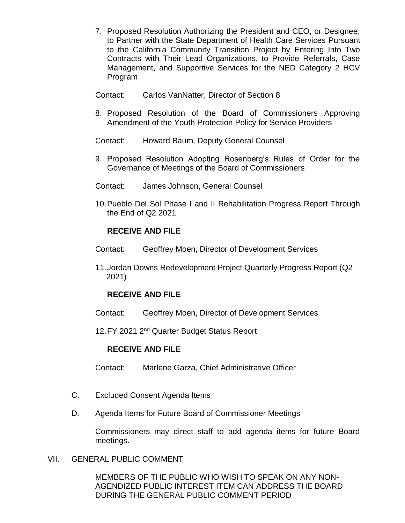- 7. Proposed Resolution Authorizing the President and CEO, or Designee, to Partner with the State Department of Health Care Services Pursuant to the California Community Transition Project by Entering Into Two Contracts with Their Lead Organizations, to Provide Referrals, Case Management, and Supportive Services for the NED Category 2 HCV Program
- Contact: Carlos VanNatter, Director of Section 8
- 8. Proposed Resolution of the Board of Commissioners Approving Amendment of the Youth Protection Policy for Service Providers
- Contact: Howard Baum, Deputy General Counsel
- 9. Proposed Resolution Adopting Rosenberg's Rules of Order for the Governance of Meetings of the Board of Commissioners
- Contact: James Johnson, General Counsel
- 10.Pueblo Del Sol Phase I and II Rehabilitation Progress Report Through the End of Q2 2021

## **RECEIVE AND FILE**

- Contact: Geoffrey Moen, Director of Development Services
- 11.Jordan Downs Redevelopment Project Quarterly Progress Report (Q2 2021)

### **RECEIVE AND FILE**

Contact: Geoffrey Moen, Director of Development Services

12. FY 2021 2<sup>nd</sup> Quarter Budget Status Report

#### **RECEIVE AND FILE**

Contact: Marlene Garza, Chief Administrative Officer

- C. Excluded Consent Agenda Items
- D. Agenda Items for Future Board of Commissioner Meetings

Commissioners may direct staff to add agenda items for future Board meetings.

#### VII. GENERAL PUBLIC COMMENT

MEMBERS OF THE PUBLIC WHO WISH TO SPEAK ON ANY NON-AGENDIZED PUBLIC INTEREST ITEM CAN ADDRESS THE BOARD DURING THE GENERAL PUBLIC COMMENT PERIOD